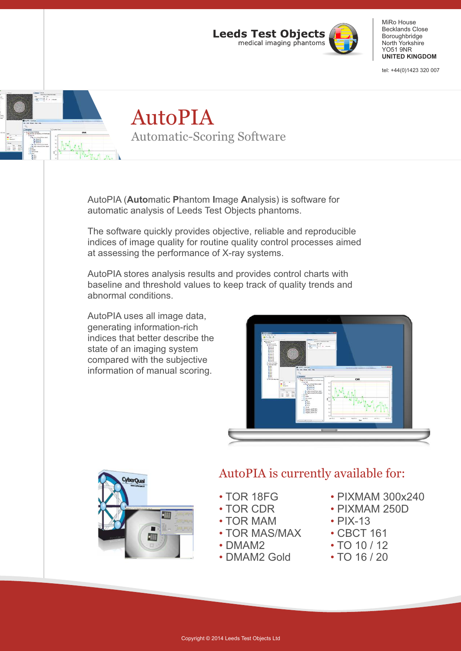

MiRo House Becklands Close Boroughbridge North Yorkshire YO51 9NR **UNITED KINGDOM**

tel: +44(0)1423 320 007



AutoPIA (**Auto**matic **P**hantom **I**mage **A**nalysis) is software for automatic analysis of Leeds Test Objects phantoms.

The software quickly provides objective, reliable and reproducible indices of image quality for routine quality control processes aimed at assessing the performance of X-ray systems.

AutoPIA stores analysis results and provides control charts with baseline and threshold values to keep track of quality trends and abnormal conditions.

AutoPIA uses all image data, generating information-rich indices that better describe the state of an imaging system compared with the subjective information of manual scoring.





## AutoPIA is currently available for:

- TOR 18FG
- TOR CDR
- TOR MAM PIX-13
- TOR MAS/MAX CBCT 161
- $\cdot$  DMAM2
- DMAM2 Gold TO 16 / 20
- PIXMAM 300x240
- $\cdot$  PIXMAM 250D
- 
- 
- $\cdot$  TO 10 / 12
	-